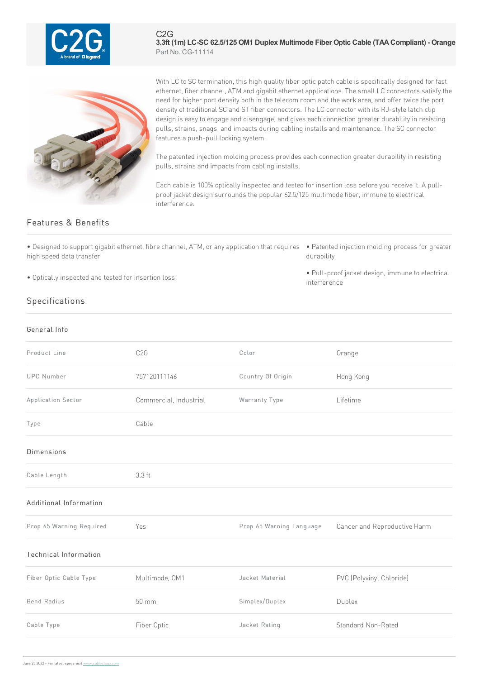

C2G **3.3ft (1m) LC-SC 62.5/125 OM1 Duplex Multimode Fiber Optic Cable (TAACompliant) - Orange** Part No. CG-11114



With LC to SC termination, this high quality fiber optic patch cable is specifically designed for fast ethernet, fiber channel, ATM and gigabit ethernet applications. The small LC connectors satisfy the need for higher port density both in the telecom room and the work area, and offer twice the port density of traditional SC and ST fiber connectors. The LC connector with its RJ-style latch clip design is easy to engage and disengage, and gives each connection greater durability in resisting pulls, strains, snags, and impacts during cabling installs and maintenance. The SC connector features a push-pull locking system.

The patented injection molding process provides each connection greater durability in resisting pulls, strains and impacts from cabling installs.

Each cable is 100% optically inspected and tested for insertion loss before you receive it. A pullproof jacket design surrounds the popular 62.5/125 multimode fiber, immune to electrical interference.

interference

## Features & Benefits

• Designed to support gigabit ethernet, fibre channel, ATM, or any application that requires • Patented injection molding process for greater high speed data transfer

• Optically inspected and tested for insertion loss

durability • Pull-proof jacket design, immune to electrical

Specifications

| General Info                 |                        |                          |                              |
|------------------------------|------------------------|--------------------------|------------------------------|
| Product Line                 | C <sub>2</sub> G       | Color                    | Orange                       |
| <b>UPC Number</b>            | 757120111146           | Country Of Origin        | Hong Kong                    |
| Application Sector           | Commercial, Industrial | Warranty Type            | Lifetime                     |
| Type                         | Cable                  |                          |                              |
| Dimensions                   |                        |                          |                              |
| Cable Length                 | 3.3 ft                 |                          |                              |
| Additional Information       |                        |                          |                              |
| Prop 65 Warning Required     | Yes                    | Prop 65 Warning Language | Cancer and Reproductive Harm |
| <b>Technical Information</b> |                        |                          |                              |
| Fiber Optic Cable Type       | Multimode, OM1         | Jacket Material          | PVC (Polyvinyl Chloride)     |
| <b>Bend Radius</b>           | $50 \, \text{mm}$      | Simplex/Duplex           | Duplex                       |
| Cable Type                   | Fiber Optic            | Jacket Rating            | Standard Non-Rated           |
|                              |                        |                          |                              |